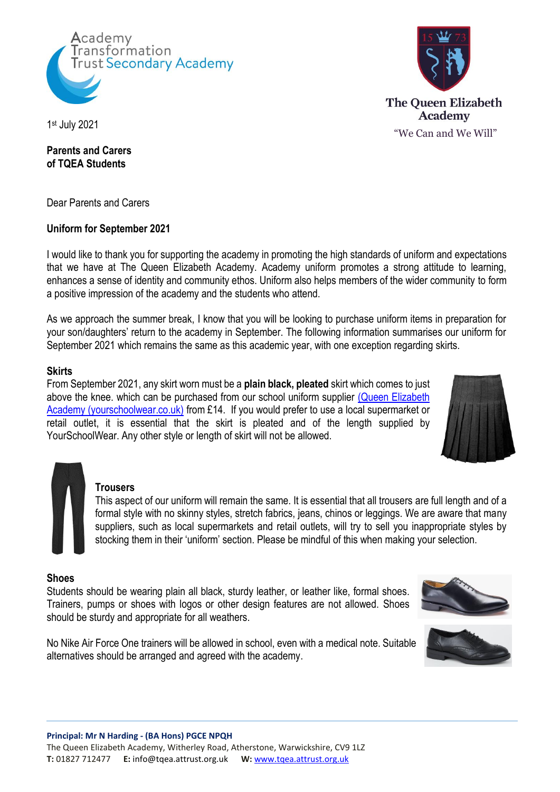



1 st July 2021

## **Parents and Carers of TQEA Students**

Dear Parents and Carers

# **Uniform for September 2021**

I would like to thank you for supporting the academy in promoting the high standards of uniform and expectations that we have at The Queen Elizabeth Academy. Academy uniform promotes a strong attitude to learning, enhances a sense of identity and community ethos. Uniform also helps members of the wider community to form a positive impression of the academy and the students who attend.

As we approach the summer break, I know that you will be looking to purchase uniform items in preparation for your son/daughters' return to the academy in September. The following information summarises our uniform for September 2021 which remains the same as this academic year, with one exception regarding skirts.

# **Skirts**

From September 2021, any skirt worn must be a **plain black, pleated** skirt which comes to just above the knee, which can be purchased from our school uniform supplier (Queen Elizabeth [Academy \(yourschoolwear.co.uk\)](https://www.yourschoolwear.co.uk/queen-elizabeth-academy-196-c.asp) from £14. If you would prefer to use a local supermarket or retail outlet, it is essential that the skirt is pleated and of the length supplied by YourSchoolWear. Any other style or length of skirt will not be allowed.



# **Trousers**

This aspect of our uniform will remain the same. It is essential that all trousers are full length and of a formal style with no skinny styles, stretch fabrics, jeans, chinos or leggings. We are aware that many suppliers, such as local supermarkets and retail outlets, will try to sell you inappropriate styles by stocking them in their 'uniform' section. Please be mindful of this when making your selection.

#### **Shoes**

Students should be wearing plain all black, sturdy leather, or leather like, formal shoes. Trainers, pumps or shoes with logos or other design features are not allowed. Shoes should be sturdy and appropriate for all weathers.

No Nike Air Force One trainers will be allowed in school, even with a medical note. Suitable alternatives should be arranged and agreed with the academy.